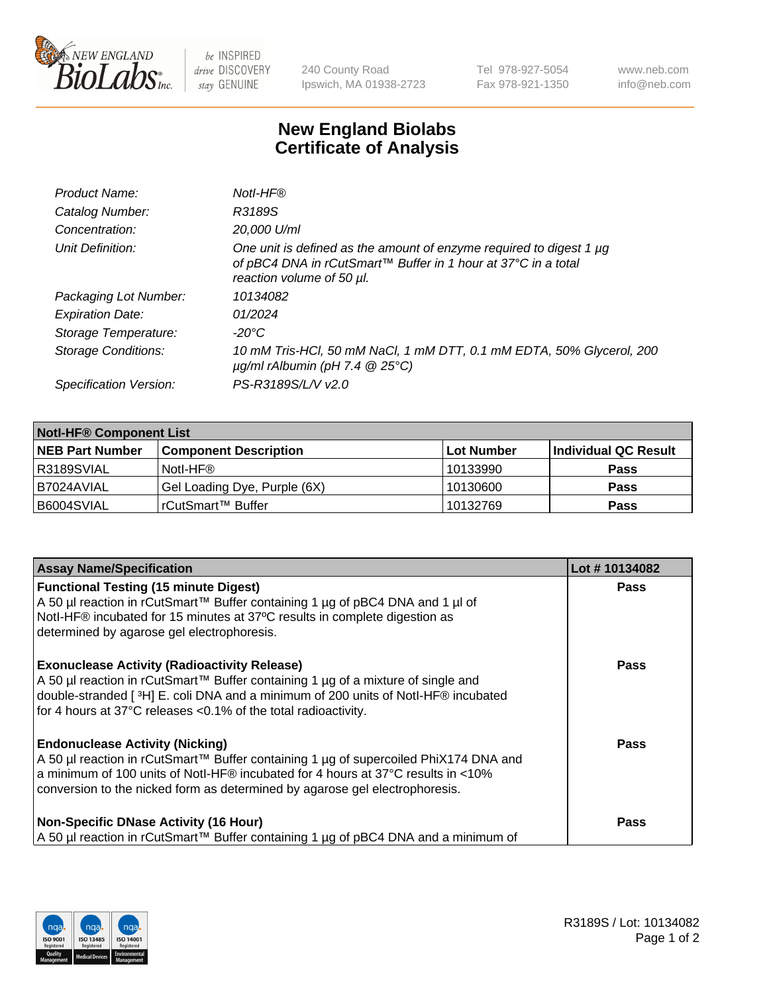

 $be$  INSPIRED drive DISCOVERY stay GENUINE

240 County Road Ipswich, MA 01938-2723 Tel 978-927-5054 Fax 978-921-1350 www.neb.com info@neb.com

## **New England Biolabs Certificate of Analysis**

| Product Name:              | Notl-HF®                                                                                                                                                          |
|----------------------------|-------------------------------------------------------------------------------------------------------------------------------------------------------------------|
| Catalog Number:            | R3189S                                                                                                                                                            |
| Concentration:             | 20,000 U/ml                                                                                                                                                       |
| Unit Definition:           | One unit is defined as the amount of enzyme required to digest 1 µg<br>of pBC4 DNA in rCutSmart™ Buffer in 1 hour at 37°C in a total<br>reaction volume of 50 µl. |
| Packaging Lot Number:      | 10134082                                                                                                                                                          |
| <b>Expiration Date:</b>    | 01/2024                                                                                                                                                           |
| Storage Temperature:       | $-20^{\circ}$ C                                                                                                                                                   |
| <b>Storage Conditions:</b> | 10 mM Tris-HCl, 50 mM NaCl, 1 mM DTT, 0.1 mM EDTA, 50% Glycerol, 200<br>$\mu$ g/ml rAlbumin (pH 7.4 $\circledR$ 25°C)                                             |
| Specification Version:     | PS-R3189S/L/V v2.0                                                                                                                                                |
|                            |                                                                                                                                                                   |

| <b>Notl-HF® Component List</b> |                              |            |                      |  |  |
|--------------------------------|------------------------------|------------|----------------------|--|--|
| <b>NEB Part Number</b>         | <b>Component Description</b> | Lot Number | Individual QC Result |  |  |
| R3189SVIAL                     | Notl-HF®                     | 10133990   | <b>Pass</b>          |  |  |
| B7024AVIAL                     | Gel Loading Dye, Purple (6X) | 10130600   | <b>Pass</b>          |  |  |
| B6004SVIAL                     | rCutSmart™ Buffer            | 10132769   | <b>Pass</b>          |  |  |

| <b>Assay Name/Specification</b>                                                                                                                                                                                                                                                                   | Lot #10134082 |
|---------------------------------------------------------------------------------------------------------------------------------------------------------------------------------------------------------------------------------------------------------------------------------------------------|---------------|
| <b>Functional Testing (15 minute Digest)</b><br>A 50 µl reaction in rCutSmart™ Buffer containing 1 µg of pBC4 DNA and 1 µl of                                                                                                                                                                     | <b>Pass</b>   |
| Notl-HF® incubated for 15 minutes at 37°C results in complete digestion as<br>determined by agarose gel electrophoresis.                                                                                                                                                                          |               |
| <b>Exonuclease Activity (Radioactivity Release)</b><br>A 50 µl reaction in rCutSmart™ Buffer containing 1 µg of a mixture of single and<br>double-stranded [3H] E. coli DNA and a minimum of 200 units of Notl-HF® incubated<br>for 4 hours at 37°C releases <0.1% of the total radioactivity.    | <b>Pass</b>   |
| <b>Endonuclease Activity (Nicking)</b><br>A 50 µl reaction in rCutSmart™ Buffer containing 1 µg of supercoiled PhiX174 DNA and<br>a minimum of 100 units of Notl-HF® incubated for 4 hours at 37°C results in <10%<br>conversion to the nicked form as determined by agarose gel electrophoresis. | Pass          |
| <b>Non-Specific DNase Activity (16 Hour)</b><br>A 50 µl reaction in rCutSmart™ Buffer containing 1 µg of pBC4 DNA and a minimum of                                                                                                                                                                | <b>Pass</b>   |